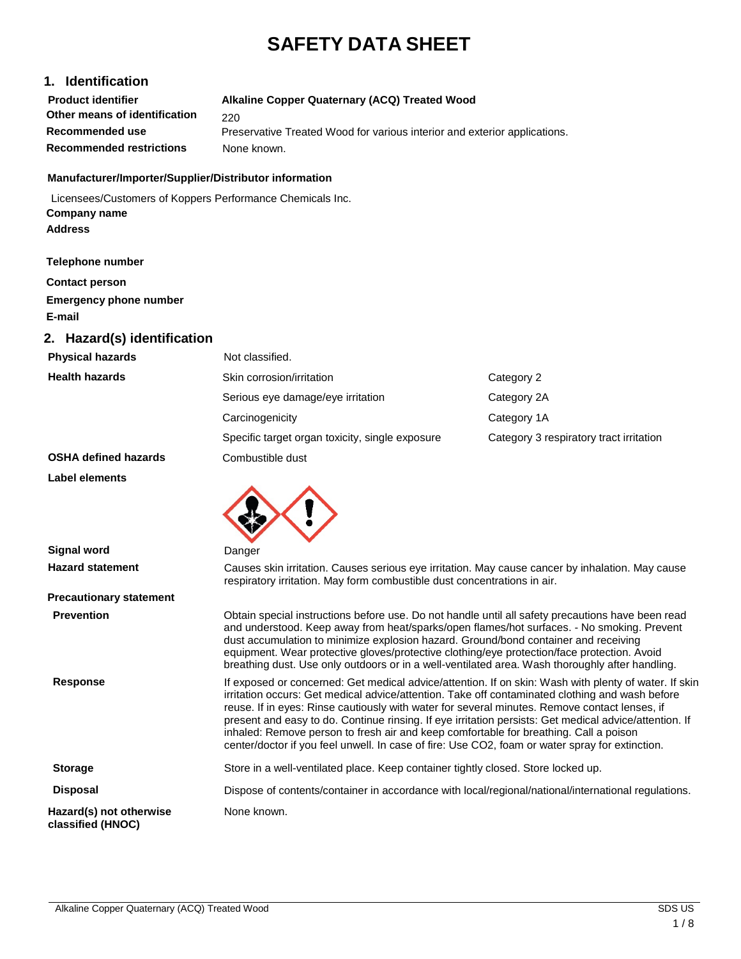# **SAFETY DATA SHEET**

### **1. Identification**

| <b>Product identifier</b>       | Alkaline Copper Quaternary (ACQ) Treated Wood                             |
|---------------------------------|---------------------------------------------------------------------------|
| Other means of identification   | 220                                                                       |
| Recommended use                 | Preservative Treated Wood for various interior and exterior applications. |
| <b>Recommended restrictions</b> | None known.                                                               |

#### **Manufacturer/Importer/Supplier/Distributor information**

Licensees/Customers of Koppers Performance Chemicals Inc. **Company name Address**

#### **Telephone number**

**Contact person Emergency phone number E-mail**

#### **2. Hazard(s) identification**

| <b>Physical hazards</b>     | Not classified.                                 |                                         |
|-----------------------------|-------------------------------------------------|-----------------------------------------|
| <b>Health hazards</b>       | Skin corrosion/irritation                       | Category 2                              |
|                             | Serious eye damage/eye irritation               | Category 2A                             |
|                             | Carcinogenicity                                 | Category 1A                             |
|                             | Specific target organ toxicity, single exposure | Category 3 respiratory tract irritation |
| <b>OSHA defined hazards</b> | Combustible dust                                |                                         |

**Label elements**

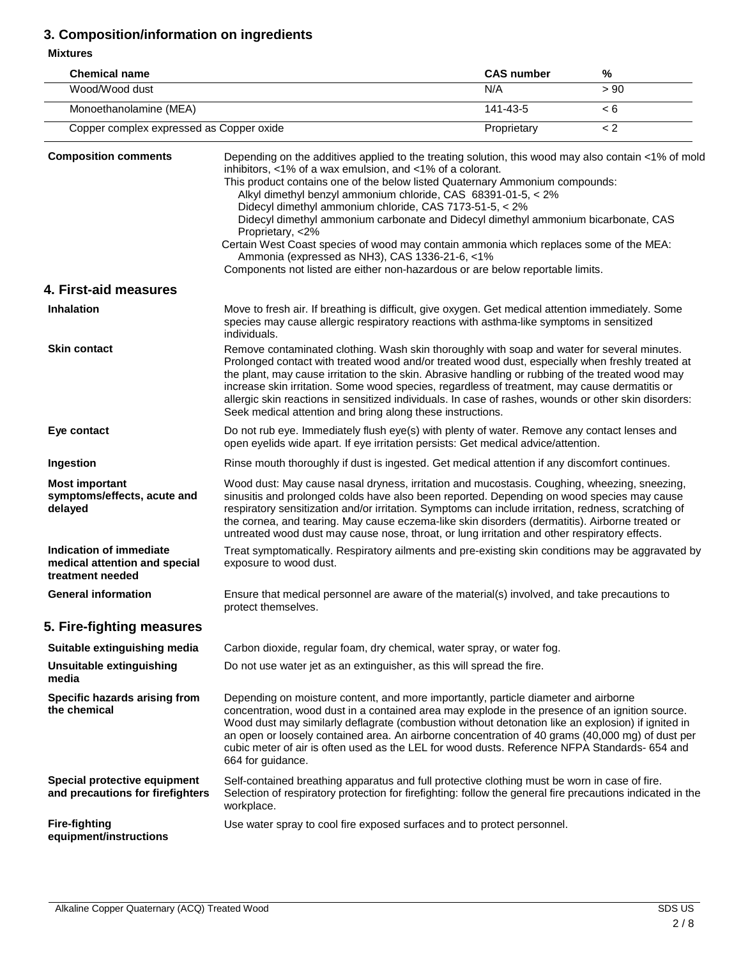## **3. Composition/information on ingredients**

**Mixtures**

| <b>Chemical name</b>                     | <b>CAS number</b> | %    |
|------------------------------------------|-------------------|------|
| Wood/Wood dust                           | N/A               | > 90 |
| Monoethanolamine (MEA)                   | 141-43-5          |      |
| Copper complex expressed as Copper oxide | Proprietary       |      |

| <b>Composition comments</b>                                                         | Depending on the additives applied to the treating solution, this wood may also contain <1% of mold<br>inhibitors, <1% of a wax emulsion, and <1% of a colorant.<br>This product contains one of the below listed Quaternary Ammonium compounds:<br>Alkyl dimethyl benzyl ammonium chloride, CAS 68391-01-5, < 2%<br>Didecyl dimethyl ammonium chloride, CAS 7173-51-5, < 2%<br>Didecyl dimethyl ammonium carbonate and Didecyl dimethyl ammonium bicarbonate, CAS<br>Proprietary, <2%<br>Certain West Coast species of wood may contain ammonia which replaces some of the MEA: |
|-------------------------------------------------------------------------------------|----------------------------------------------------------------------------------------------------------------------------------------------------------------------------------------------------------------------------------------------------------------------------------------------------------------------------------------------------------------------------------------------------------------------------------------------------------------------------------------------------------------------------------------------------------------------------------|
|                                                                                     | Ammonia (expressed as NH3), CAS 1336-21-6, <1%<br>Components not listed are either non-hazardous or are below reportable limits.                                                                                                                                                                                                                                                                                                                                                                                                                                                 |
| 4. First-aid measures                                                               |                                                                                                                                                                                                                                                                                                                                                                                                                                                                                                                                                                                  |
| <b>Inhalation</b>                                                                   | Move to fresh air. If breathing is difficult, give oxygen. Get medical attention immediately. Some<br>species may cause allergic respiratory reactions with asthma-like symptoms in sensitized<br>individuals.                                                                                                                                                                                                                                                                                                                                                                   |
| <b>Skin contact</b>                                                                 | Remove contaminated clothing. Wash skin thoroughly with soap and water for several minutes.<br>Prolonged contact with treated wood and/or treated wood dust, especially when freshly treated at<br>the plant, may cause irritation to the skin. Abrasive handling or rubbing of the treated wood may<br>increase skin irritation. Some wood species, regardless of treatment, may cause dermatitis or<br>allergic skin reactions in sensitized individuals. In case of rashes, wounds or other skin disorders:<br>Seek medical attention and bring along these instructions.     |
| Eye contact                                                                         | Do not rub eye. Immediately flush eye(s) with plenty of water. Remove any contact lenses and<br>open eyelids wide apart. If eye irritation persists: Get medical advice/attention.                                                                                                                                                                                                                                                                                                                                                                                               |
| Ingestion                                                                           | Rinse mouth thoroughly if dust is ingested. Get medical attention if any discomfort continues.                                                                                                                                                                                                                                                                                                                                                                                                                                                                                   |
| <b>Most important</b><br>symptoms/effects, acute and<br>delayed                     | Wood dust: May cause nasal dryness, irritation and mucostasis. Coughing, wheezing, sneezing,<br>sinusitis and prolonged colds have also been reported. Depending on wood species may cause<br>respiratory sensitization and/or irritation. Symptoms can include irritation, redness, scratching of<br>the cornea, and tearing. May cause eczema-like skin disorders (dermatitis). Airborne treated or<br>untreated wood dust may cause nose, throat, or lung irritation and other respiratory effects.                                                                           |
| <b>Indication of immediate</b><br>medical attention and special<br>treatment needed | Treat symptomatically. Respiratory ailments and pre-existing skin conditions may be aggravated by<br>exposure to wood dust.                                                                                                                                                                                                                                                                                                                                                                                                                                                      |
| <b>General information</b>                                                          | Ensure that medical personnel are aware of the material(s) involved, and take precautions to<br>protect themselves.                                                                                                                                                                                                                                                                                                                                                                                                                                                              |
| 5. Fire-fighting measures                                                           |                                                                                                                                                                                                                                                                                                                                                                                                                                                                                                                                                                                  |
| Suitable extinguishing media                                                        | Carbon dioxide, regular foam, dry chemical, water spray, or water fog.                                                                                                                                                                                                                                                                                                                                                                                                                                                                                                           |
| Unsuitable extinguishing<br>media                                                   | Do not use water jet as an extinguisher, as this will spread the fire.                                                                                                                                                                                                                                                                                                                                                                                                                                                                                                           |
| Specific hazards arising from<br>the chemical                                       | Depending on moisture content, and more importantly, particle diameter and airborne<br>concentration, wood dust in a contained area may explode in the presence of an ignition source.<br>Wood dust may similarly deflagrate (combustion without detonation like an explosion) if ignited in<br>an open or loosely contained area. An airborne concentration of 40 grams (40,000 mg) of dust per<br>cubic meter of air is often used as the LEL for wood dusts. Reference NFPA Standards- 654 and<br>664 for guidance.                                                           |
| Special protective equipment<br>and precautions for firefighters                    | Self-contained breathing apparatus and full protective clothing must be worn in case of fire.<br>Selection of respiratory protection for firefighting: follow the general fire precautions indicated in the<br>workplace.                                                                                                                                                                                                                                                                                                                                                        |
| <b>Fire-fighting</b><br>equipment/instructions                                      | Use water spray to cool fire exposed surfaces and to protect personnel.                                                                                                                                                                                                                                                                                                                                                                                                                                                                                                          |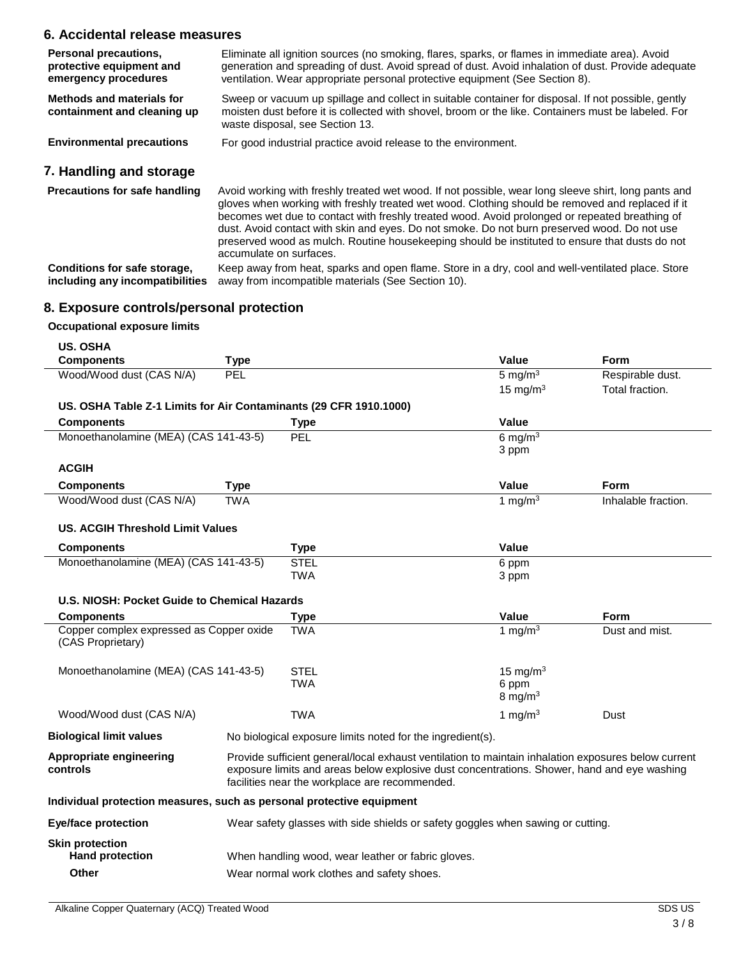### **6. Accidental release measures**

| <b>Personal precautions,</b><br>protective equipment and<br>emergency procedures | Eliminate all ignition sources (no smoking, flares, sparks, or flames in immediate area). Avoid<br>generation and spreading of dust. Avoid spread of dust. Avoid inhalation of dust. Provide adequate<br>ventilation. Wear appropriate personal protective equipment (See Section 8).                      |
|----------------------------------------------------------------------------------|------------------------------------------------------------------------------------------------------------------------------------------------------------------------------------------------------------------------------------------------------------------------------------------------------------|
| Methods and materials for<br>containment and cleaning up                         | Sweep or vacuum up spillage and collect in suitable container for disposal. If not possible, gently<br>moisten dust before it is collected with shovel, broom or the like. Containers must be labeled. For<br>waste disposal, see Section 13.                                                              |
| <b>Environmental precautions</b>                                                 | For good industrial practice avoid release to the environment.                                                                                                                                                                                                                                             |
| 7. Handling and storage                                                          |                                                                                                                                                                                                                                                                                                            |
| <b>Precautions for safe handling</b>                                             | Avoid working with freshly treated wet wood. If not possible, wear long sleeve shirt, long pants and<br>gloves when working with freshly treated wet wood. Clothing should be removed and replaced if it<br>becomes wet due to contact with freshly treated wood. Avoid prolonged or repeated breathing of |

accumulate on surfaces. **Conditions for safe storage, including any incompatibilities** Keep away from heat, sparks and open flame. Store in a dry, cool and well-ventilated place. Store away from incompatible materials (See Section 10).

dust. Avoid contact with skin and eyes. Do not smoke. Do not burn preserved wood. Do not use preserved wood as mulch. Routine housekeeping should be instituted to ensure that dusts do not

#### **8. Exposure controls/personal protection**

#### **Occupational exposure limits**

| <b>US. OSHA</b>                                                       |                                                                                                                                                                                                                                                      |                                                                                 |              |                     |
|-----------------------------------------------------------------------|------------------------------------------------------------------------------------------------------------------------------------------------------------------------------------------------------------------------------------------------------|---------------------------------------------------------------------------------|--------------|---------------------|
| <b>Components</b>                                                     | <b>Type</b>                                                                                                                                                                                                                                          |                                                                                 | Value        | Form                |
| Wood/Wood dust (CAS N/A)                                              | PEL                                                                                                                                                                                                                                                  |                                                                                 | 5 mg/ $m3$   | Respirable dust.    |
|                                                                       |                                                                                                                                                                                                                                                      |                                                                                 | 15 mg/m $3$  | Total fraction.     |
| US. OSHA Table Z-1 Limits for Air Contaminants (29 CFR 1910.1000)     |                                                                                                                                                                                                                                                      |                                                                                 |              |                     |
| <b>Components</b>                                                     |                                                                                                                                                                                                                                                      | Type                                                                            | <b>Value</b> |                     |
| Monoethanolamine (MEA) (CAS 141-43-5)                                 |                                                                                                                                                                                                                                                      | PEL                                                                             | 6 mg/m $3$   |                     |
|                                                                       |                                                                                                                                                                                                                                                      |                                                                                 | 3 ppm        |                     |
| <b>ACGIH</b>                                                          |                                                                                                                                                                                                                                                      |                                                                                 |              |                     |
| <b>Components</b>                                                     | <b>Type</b>                                                                                                                                                                                                                                          |                                                                                 | Value        | <b>Form</b>         |
| Wood/Wood dust (CAS N/A)                                              | <b>TWA</b>                                                                                                                                                                                                                                           |                                                                                 | 1 mg/m $3$   | Inhalable fraction. |
| <b>US. ACGIH Threshold Limit Values</b>                               |                                                                                                                                                                                                                                                      |                                                                                 |              |                     |
| <b>Components</b>                                                     |                                                                                                                                                                                                                                                      | <b>Type</b>                                                                     | <b>Value</b> |                     |
| Monoethanolamine (MEA) (CAS 141-43-5)                                 |                                                                                                                                                                                                                                                      | <b>STEL</b>                                                                     | 6 ppm        |                     |
|                                                                       |                                                                                                                                                                                                                                                      | <b>TWA</b>                                                                      | 3 ppm        |                     |
| U.S. NIOSH: Pocket Guide to Chemical Hazards                          |                                                                                                                                                                                                                                                      |                                                                                 |              |                     |
| <b>Components</b>                                                     |                                                                                                                                                                                                                                                      | <b>Type</b>                                                                     | Value        | Form                |
| Copper complex expressed as Copper oxide<br>(CAS Proprietary)         |                                                                                                                                                                                                                                                      | <b>TWA</b>                                                                      | 1 mg/m $3$   | Dust and mist.      |
| Monoethanolamine (MEA) (CAS 141-43-5)                                 |                                                                                                                                                                                                                                                      | <b>STEL</b>                                                                     | 15 mg/m $3$  |                     |
|                                                                       |                                                                                                                                                                                                                                                      | TWA                                                                             | 6 ppm        |                     |
|                                                                       |                                                                                                                                                                                                                                                      |                                                                                 | 8 mg/m $3$   |                     |
| Wood/Wood dust (CAS N/A)                                              |                                                                                                                                                                                                                                                      | <b>TWA</b>                                                                      | 1 mg/m $3$   | Dust                |
| <b>Biological limit values</b>                                        | No biological exposure limits noted for the ingredient(s).                                                                                                                                                                                           |                                                                                 |              |                     |
| Appropriate engineering<br>controls                                   | Provide sufficient general/local exhaust ventilation to maintain inhalation exposures below current<br>exposure limits and areas below explosive dust concentrations. Shower, hand and eye washing<br>facilities near the workplace are recommended. |                                                                                 |              |                     |
| Individual protection measures, such as personal protective equipment |                                                                                                                                                                                                                                                      |                                                                                 |              |                     |
|                                                                       |                                                                                                                                                                                                                                                      | Wear safety glasses with side shields or safety goggles when sawing or cutting. |              |                     |
| <b>Eye/face protection</b>                                            |                                                                                                                                                                                                                                                      |                                                                                 |              |                     |
| <b>Skin protection</b><br><b>Hand protection</b>                      |                                                                                                                                                                                                                                                      | When handling wood, wear leather or fabric gloves.                              |              |                     |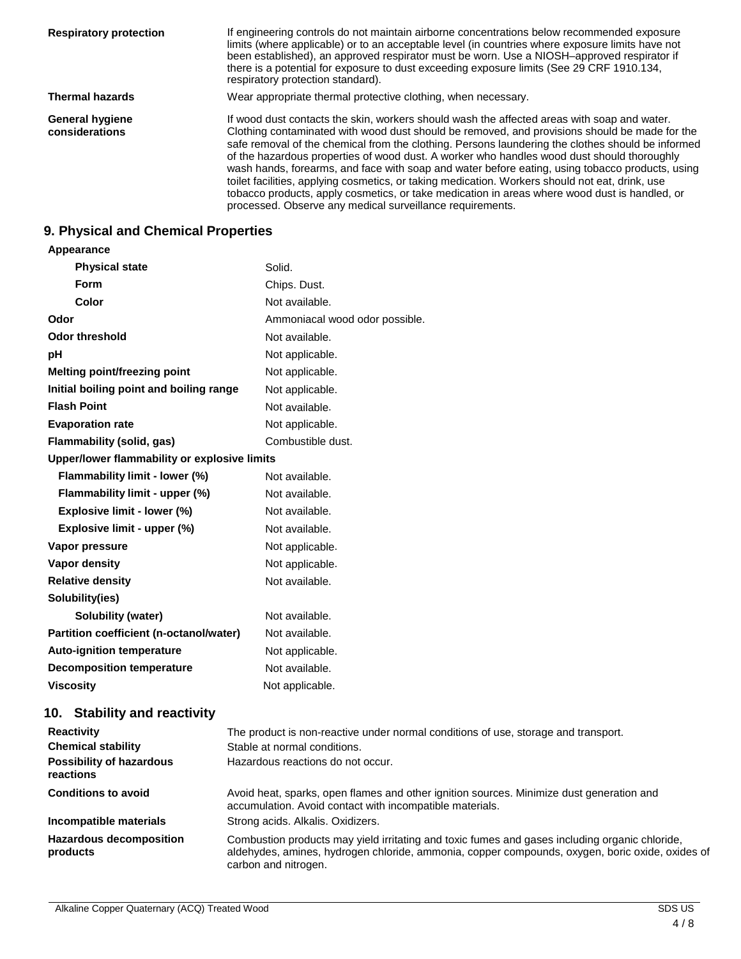| <b>Respiratory protection</b>            | If engineering controls do not maintain airborne concentrations below recommended exposure<br>limits (where applicable) or to an acceptable level (in countries where exposure limits have not<br>been established), an approved respirator must be worn. Use a NIOSH-approved respirator if<br>there is a potential for exposure to dust exceeding exposure limits (See 29 CRF 1910.134,<br>respiratory protection standard).                                                                                                                                                                                                                                                                                                                                      |
|------------------------------------------|---------------------------------------------------------------------------------------------------------------------------------------------------------------------------------------------------------------------------------------------------------------------------------------------------------------------------------------------------------------------------------------------------------------------------------------------------------------------------------------------------------------------------------------------------------------------------------------------------------------------------------------------------------------------------------------------------------------------------------------------------------------------|
| <b>Thermal hazards</b>                   | Wear appropriate thermal protective clothing, when necessary.                                                                                                                                                                                                                                                                                                                                                                                                                                                                                                                                                                                                                                                                                                       |
| <b>General hygiene</b><br>considerations | If wood dust contacts the skin, workers should wash the affected areas with soap and water.<br>Clothing contaminated with wood dust should be removed, and provisions should be made for the<br>safe removal of the chemical from the clothing. Persons laundering the clothes should be informed<br>of the hazardous properties of wood dust. A worker who handles wood dust should thoroughly<br>wash hands, forearms, and face with soap and water before eating, using tobacco products, using<br>toilet facilities, applying cosmetics, or taking medication. Workers should not eat, drink, use<br>tobacco products, apply cosmetics, or take medication in areas where wood dust is handled, or<br>processed. Observe any medical surveillance requirements. |

# **9. Physical and Chemical Properties**

| Appearance                                   |                                                                                    |
|----------------------------------------------|------------------------------------------------------------------------------------|
| <b>Physical state</b>                        | Solid.                                                                             |
| Form                                         | Chips. Dust.                                                                       |
| Color                                        | Not available.                                                                     |
| Odor                                         | Ammoniacal wood odor possible.                                                     |
| <b>Odor threshold</b>                        | Not available.                                                                     |
| рH                                           | Not applicable.                                                                    |
| Melting point/freezing point                 | Not applicable.                                                                    |
| Initial boiling point and boiling range      | Not applicable.                                                                    |
| <b>Flash Point</b>                           | Not available.                                                                     |
| <b>Evaporation rate</b>                      | Not applicable.                                                                    |
| Flammability (solid, gas)                    | Combustible dust.                                                                  |
| Upper/lower flammability or explosive limits |                                                                                    |
| Flammability limit - lower (%)               | Not available.                                                                     |
| Flammability limit - upper (%)               | Not available.                                                                     |
| Explosive limit - lower (%)                  | Not available.                                                                     |
| Explosive limit - upper (%)                  | Not available.                                                                     |
| Vapor pressure                               | Not applicable.                                                                    |
| Vapor density                                | Not applicable.                                                                    |
| <b>Relative density</b>                      | Not available.                                                                     |
| Solubility(ies)                              |                                                                                    |
| Solubility (water)                           | Not available.                                                                     |
| Partition coefficient (n-octanol/water)      | Not available.                                                                     |
| <b>Auto-ignition temperature</b>             | Not applicable.                                                                    |
| <b>Decomposition temperature</b>             | Not available.                                                                     |
| <b>Viscosity</b>                             | Not applicable.                                                                    |
| 10. Stability and reactivity                 |                                                                                    |
| <b>Reactivity</b>                            | The product is non-reactive under normal conditions of use, storage and transport. |
| Chemical stability                           | Stable at normal conditions.                                                       |

| <b>UIIGHIIUAI SLADIIILY</b>                  | Stable at Homal conditions.                                                                                                                                                                                               |
|----------------------------------------------|---------------------------------------------------------------------------------------------------------------------------------------------------------------------------------------------------------------------------|
| <b>Possibility of hazardous</b><br>reactions | Hazardous reactions do not occur.                                                                                                                                                                                         |
| <b>Conditions to avoid</b>                   | Avoid heat, sparks, open flames and other ignition sources. Minimize dust generation and<br>accumulation. Avoid contact with incompatible materials.                                                                      |
| Incompatible materials                       | Strong acids. Alkalis. Oxidizers.                                                                                                                                                                                         |
| <b>Hazardous decomposition</b><br>products   | Combustion products may yield irritating and toxic fumes and gases including organic chloride,<br>aldehydes, amines, hydrogen chloride, ammonia, copper compounds, oxygen, boric oxide, oxides of<br>carbon and nitrogen. |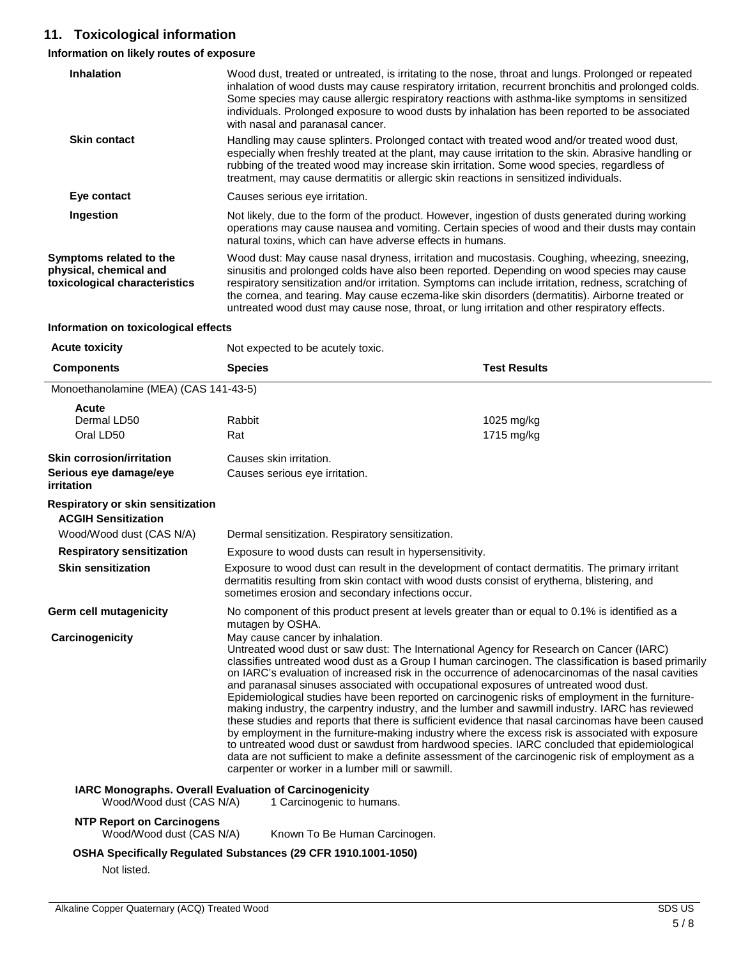### **11. Toxicological information**

### **Information on likely routes of exposure**

| <b>INTO MANUTE OF TINGLY LOGGS OF EXPOSURE</b>                                     |                                                                                                                                                                                                                                                                        |                                                                                                                                                                                                                                                                                                                                                                                                                                                                                                                                                                                                                                                                                                                                                                                                                                |
|------------------------------------------------------------------------------------|------------------------------------------------------------------------------------------------------------------------------------------------------------------------------------------------------------------------------------------------------------------------|--------------------------------------------------------------------------------------------------------------------------------------------------------------------------------------------------------------------------------------------------------------------------------------------------------------------------------------------------------------------------------------------------------------------------------------------------------------------------------------------------------------------------------------------------------------------------------------------------------------------------------------------------------------------------------------------------------------------------------------------------------------------------------------------------------------------------------|
| <b>Inhalation</b>                                                                  | with nasal and paranasal cancer.                                                                                                                                                                                                                                       | Wood dust, treated or untreated, is irritating to the nose, throat and lungs. Prolonged or repeated<br>inhalation of wood dusts may cause respiratory irritation, recurrent bronchitis and prolonged colds.<br>Some species may cause allergic respiratory reactions with asthma-like symptoms in sensitized<br>individuals. Prolonged exposure to wood dusts by inhalation has been reported to be associated                                                                                                                                                                                                                                                                                                                                                                                                                 |
| <b>Skin contact</b>                                                                | rubbing of the treated wood may increase skin irritation. Some wood species, regardless of<br>treatment, may cause dermatitis or allergic skin reactions in sensitized individuals.                                                                                    | Handling may cause splinters. Prolonged contact with treated wood and/or treated wood dust,<br>especially when freshly treated at the plant, may cause irritation to the skin. Abrasive handling or                                                                                                                                                                                                                                                                                                                                                                                                                                                                                                                                                                                                                            |
| Eye contact                                                                        | Causes serious eye irritation.                                                                                                                                                                                                                                         |                                                                                                                                                                                                                                                                                                                                                                                                                                                                                                                                                                                                                                                                                                                                                                                                                                |
| Ingestion                                                                          | natural toxins, which can have adverse effects in humans.                                                                                                                                                                                                              | Not likely, due to the form of the product. However, ingestion of dusts generated during working<br>operations may cause nausea and vomiting. Certain species of wood and their dusts may contain                                                                                                                                                                                                                                                                                                                                                                                                                                                                                                                                                                                                                              |
| Symptoms related to the<br>physical, chemical and<br>toxicological characteristics | untreated wood dust may cause nose, throat, or lung irritation and other respiratory effects.                                                                                                                                                                          | Wood dust: May cause nasal dryness, irritation and mucostasis. Coughing, wheezing, sneezing,<br>sinusitis and prolonged colds have also been reported. Depending on wood species may cause<br>respiratory sensitization and/or irritation. Symptoms can include irritation, redness, scratching of<br>the cornea, and tearing. May cause eczema-like skin disorders (dermatitis). Airborne treated or                                                                                                                                                                                                                                                                                                                                                                                                                          |
| Information on toxicological effects                                               |                                                                                                                                                                                                                                                                        |                                                                                                                                                                                                                                                                                                                                                                                                                                                                                                                                                                                                                                                                                                                                                                                                                                |
| <b>Acute toxicity</b>                                                              | Not expected to be acutely toxic.                                                                                                                                                                                                                                      |                                                                                                                                                                                                                                                                                                                                                                                                                                                                                                                                                                                                                                                                                                                                                                                                                                |
| <b>Components</b>                                                                  | <b>Species</b>                                                                                                                                                                                                                                                         | <b>Test Results</b>                                                                                                                                                                                                                                                                                                                                                                                                                                                                                                                                                                                                                                                                                                                                                                                                            |
| Monoethanolamine (MEA) (CAS 141-43-5)                                              |                                                                                                                                                                                                                                                                        |                                                                                                                                                                                                                                                                                                                                                                                                                                                                                                                                                                                                                                                                                                                                                                                                                                |
| Acute                                                                              |                                                                                                                                                                                                                                                                        |                                                                                                                                                                                                                                                                                                                                                                                                                                                                                                                                                                                                                                                                                                                                                                                                                                |
| Dermal LD50                                                                        | Rabbit                                                                                                                                                                                                                                                                 | 1025 mg/kg                                                                                                                                                                                                                                                                                                                                                                                                                                                                                                                                                                                                                                                                                                                                                                                                                     |
| Oral LD50                                                                          | Rat                                                                                                                                                                                                                                                                    | 1715 mg/kg                                                                                                                                                                                                                                                                                                                                                                                                                                                                                                                                                                                                                                                                                                                                                                                                                     |
| <b>Skin corrosion/irritation</b>                                                   | Causes skin irritation.                                                                                                                                                                                                                                                |                                                                                                                                                                                                                                                                                                                                                                                                                                                                                                                                                                                                                                                                                                                                                                                                                                |
| Serious eye damage/eye<br><i>irritation</i>                                        | Causes serious eye irritation.                                                                                                                                                                                                                                         |                                                                                                                                                                                                                                                                                                                                                                                                                                                                                                                                                                                                                                                                                                                                                                                                                                |
| Respiratory or skin sensitization<br><b>ACGIH Sensitization</b>                    |                                                                                                                                                                                                                                                                        |                                                                                                                                                                                                                                                                                                                                                                                                                                                                                                                                                                                                                                                                                                                                                                                                                                |
| Wood/Wood dust (CAS N/A)                                                           | Dermal sensitization. Respiratory sensitization.                                                                                                                                                                                                                       |                                                                                                                                                                                                                                                                                                                                                                                                                                                                                                                                                                                                                                                                                                                                                                                                                                |
| <b>Respiratory sensitization</b>                                                   | Exposure to wood dusts can result in hypersensitivity.                                                                                                                                                                                                                 |                                                                                                                                                                                                                                                                                                                                                                                                                                                                                                                                                                                                                                                                                                                                                                                                                                |
| <b>Skin sensitization</b>                                                          | Exposure to wood dust can result in the development of contact dermatitis. The primary irritant<br>dermatitis resulting from skin contact with wood dusts consist of erythema, blistering, and<br>sometimes erosion and secondary infections occur.                    |                                                                                                                                                                                                                                                                                                                                                                                                                                                                                                                                                                                                                                                                                                                                                                                                                                |
| Germ cell mutagenicity                                                             | No component of this product present at levels greater than or equal to 0.1% is identified as a<br>mutagen by OSHA.                                                                                                                                                    |                                                                                                                                                                                                                                                                                                                                                                                                                                                                                                                                                                                                                                                                                                                                                                                                                                |
| Carcinogenicity                                                                    | May cause cancer by inhalation.<br>Untreated wood dust or saw dust: The International Agency for Research on Cancer (IARC)<br>and paranasal sinuses associated with occupational exposures of untreated wood dust.<br>carpenter or worker in a lumber mill or sawmill. | classifies untreated wood dust as a Group I human carcinogen. The classification is based primarily<br>on IARC's evaluation of increased risk in the occurrence of adenocarcinomas of the nasal cavities<br>Epidemiological studies have been reported on carcinogenic risks of employment in the furniture-<br>making industry, the carpentry industry, and the lumber and sawmill industry. IARC has reviewed<br>these studies and reports that there is sufficient evidence that nasal carcinomas have been caused<br>by employment in the furniture-making industry where the excess risk is associated with exposure<br>to untreated wood dust or sawdust from hardwood species. IARC concluded that epidemiological<br>data are not sufficient to make a definite assessment of the carcinogenic risk of employment as a |
| Wood/Wood dust (CAS N/A)                                                           | IARC Monographs. Overall Evaluation of Carcinogenicity<br>1 Carcinogenic to humans.                                                                                                                                                                                    |                                                                                                                                                                                                                                                                                                                                                                                                                                                                                                                                                                                                                                                                                                                                                                                                                                |
| <b>NTP Report on Carcinogens</b><br>Wood/Wood dust (CAS N/A)                       | Known To Be Human Carcinogen.                                                                                                                                                                                                                                          |                                                                                                                                                                                                                                                                                                                                                                                                                                                                                                                                                                                                                                                                                                                                                                                                                                |
|                                                                                    | OSHA Specifically Pequisted Substances (20 CEP 1010 1001-1050)                                                                                                                                                                                                         |                                                                                                                                                                                                                                                                                                                                                                                                                                                                                                                                                                                                                                                                                                                                                                                                                                |

**OSHA Specifically Regulated Substances (29 CFR 1910.1001-1050)**

Not listed.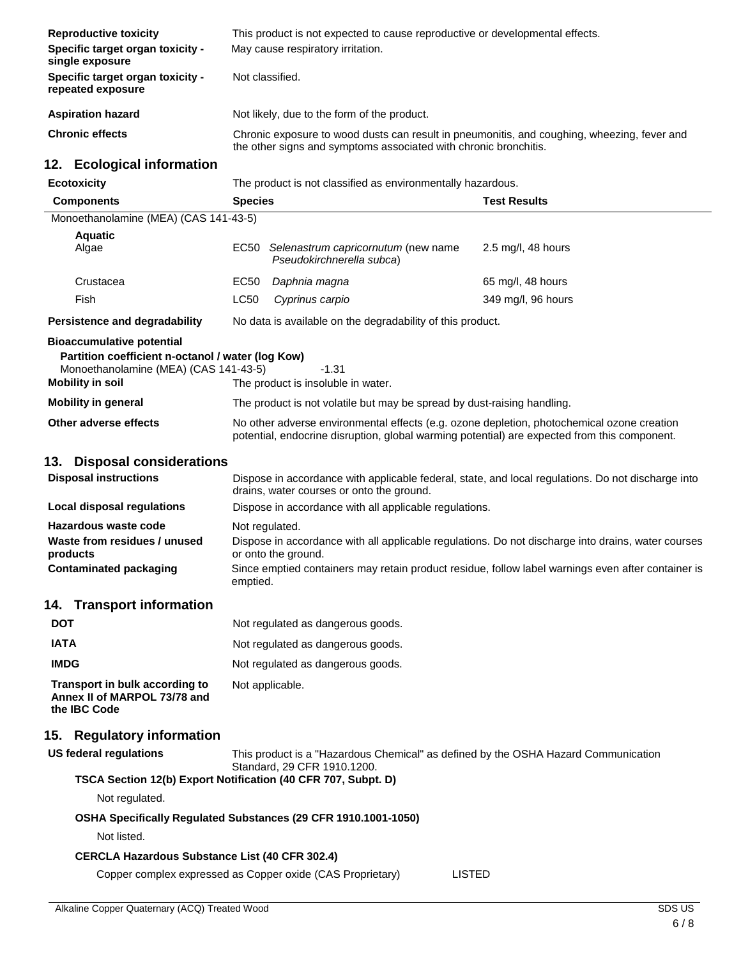| <b>Reproductive toxicity</b>                                                                                          |                 | This product is not expected to cause reproductive or developmental effects.                                                                                                               |                                                                                                    |
|-----------------------------------------------------------------------------------------------------------------------|-----------------|--------------------------------------------------------------------------------------------------------------------------------------------------------------------------------------------|----------------------------------------------------------------------------------------------------|
| Specific target organ toxicity -<br>single exposure                                                                   |                 | May cause respiratory irritation.                                                                                                                                                          |                                                                                                    |
| Specific target organ toxicity -<br>repeated exposure                                                                 | Not classified. |                                                                                                                                                                                            |                                                                                                    |
| <b>Aspiration hazard</b>                                                                                              |                 | Not likely, due to the form of the product.                                                                                                                                                |                                                                                                    |
| <b>Chronic effects</b>                                                                                                |                 | the other signs and symptoms associated with chronic bronchitis.                                                                                                                           | Chronic exposure to wood dusts can result in pneumonitis, and coughing, wheezing, fever and        |
| 12. Ecological information                                                                                            |                 |                                                                                                                                                                                            |                                                                                                    |
| <b>Ecotoxicity</b>                                                                                                    |                 | The product is not classified as environmentally hazardous.                                                                                                                                |                                                                                                    |
| <b>Components</b>                                                                                                     | <b>Species</b>  |                                                                                                                                                                                            | <b>Test Results</b>                                                                                |
| Monoethanolamine (MEA) (CAS 141-43-5)                                                                                 |                 |                                                                                                                                                                                            |                                                                                                    |
| <b>Aquatic</b><br>Algae                                                                                               |                 | EC50 Selenastrum capricornutum (new name<br>Pseudokirchnerella subca)                                                                                                                      | 2.5 mg/l, 48 hours                                                                                 |
| Crustacea                                                                                                             | EC50            | Daphnia magna                                                                                                                                                                              | 65 mg/l, 48 hours                                                                                  |
| Fish                                                                                                                  | LC50            | Cyprinus carpio                                                                                                                                                                            | 349 mg/l, 96 hours                                                                                 |
| Persistence and degradability                                                                                         |                 | No data is available on the degradability of this product.                                                                                                                                 |                                                                                                    |
| <b>Bioaccumulative potential</b>                                                                                      |                 |                                                                                                                                                                                            |                                                                                                    |
| Partition coefficient n-octanol / water (log Kow)<br>Monoethanolamine (MEA) (CAS 141-43-5)<br><b>Mobility in soil</b> |                 | $-1.31$<br>The product is insoluble in water.                                                                                                                                              |                                                                                                    |
| <b>Mobility in general</b>                                                                                            |                 | The product is not volatile but may be spread by dust-raising handling.                                                                                                                    |                                                                                                    |
| Other adverse effects                                                                                                 |                 | No other adverse environmental effects (e.g. ozone depletion, photochemical ozone creation<br>potential, endocrine disruption, global warming potential) are expected from this component. |                                                                                                    |
| <b>Disposal considerations</b><br>13.                                                                                 |                 |                                                                                                                                                                                            |                                                                                                    |
| <b>Disposal instructions</b>                                                                                          |                 | drains, water courses or onto the ground.                                                                                                                                                  | Dispose in accordance with applicable federal, state, and local regulations. Do not discharge into |
| <b>Local disposal regulations</b>                                                                                     |                 | Dispose in accordance with all applicable regulations.                                                                                                                                     |                                                                                                    |
| Hazardous waste code                                                                                                  | Not regulated.  |                                                                                                                                                                                            |                                                                                                    |
| Waste from residues / unused<br>products                                                                              |                 | or onto the ground.                                                                                                                                                                        | Dispose in accordance with all applicable regulations. Do not discharge into drains, water courses |
| <b>Contaminated packaging</b>                                                                                         | emptied.        |                                                                                                                                                                                            | Since emptied containers may retain product residue, follow label warnings even after container is |
| 14. Transport information                                                                                             |                 |                                                                                                                                                                                            |                                                                                                    |
| <b>DOT</b>                                                                                                            |                 | Not regulated as dangerous goods.                                                                                                                                                          |                                                                                                    |
| <b>IATA</b>                                                                                                           |                 | Not regulated as dangerous goods.                                                                                                                                                          |                                                                                                    |
| <b>IMDG</b>                                                                                                           |                 | Not regulated as dangerous goods.                                                                                                                                                          |                                                                                                    |
| Transport in bulk according to<br>Annex II of MARPOL 73/78 and<br>the IBC Code                                        |                 | Not applicable.                                                                                                                                                                            |                                                                                                    |
| <b>Regulatory information</b><br>15.                                                                                  |                 |                                                                                                                                                                                            |                                                                                                    |
| <b>US federal regulations</b>                                                                                         |                 | This product is a "Hazardous Chemical" as defined by the OSHA Hazard Communication                                                                                                         |                                                                                                    |
|                                                                                                                       |                 | Standard, 29 CFR 1910.1200.                                                                                                                                                                |                                                                                                    |
| TSCA Section 12(b) Export Notification (40 CFR 707, Subpt. D)<br>Not regulated.                                       |                 |                                                                                                                                                                                            |                                                                                                    |
| Not listed.                                                                                                           |                 | OSHA Specifically Regulated Substances (29 CFR 1910.1001-1050)                                                                                                                             |                                                                                                    |
| <b>CERCLA Hazardous Substance List (40 CFR 302.4)</b>                                                                 |                 |                                                                                                                                                                                            |                                                                                                    |
|                                                                                                                       |                 | Copper complex expressed as Copper oxide (CAS Proprietary)<br><b>LISTED</b>                                                                                                                |                                                                                                    |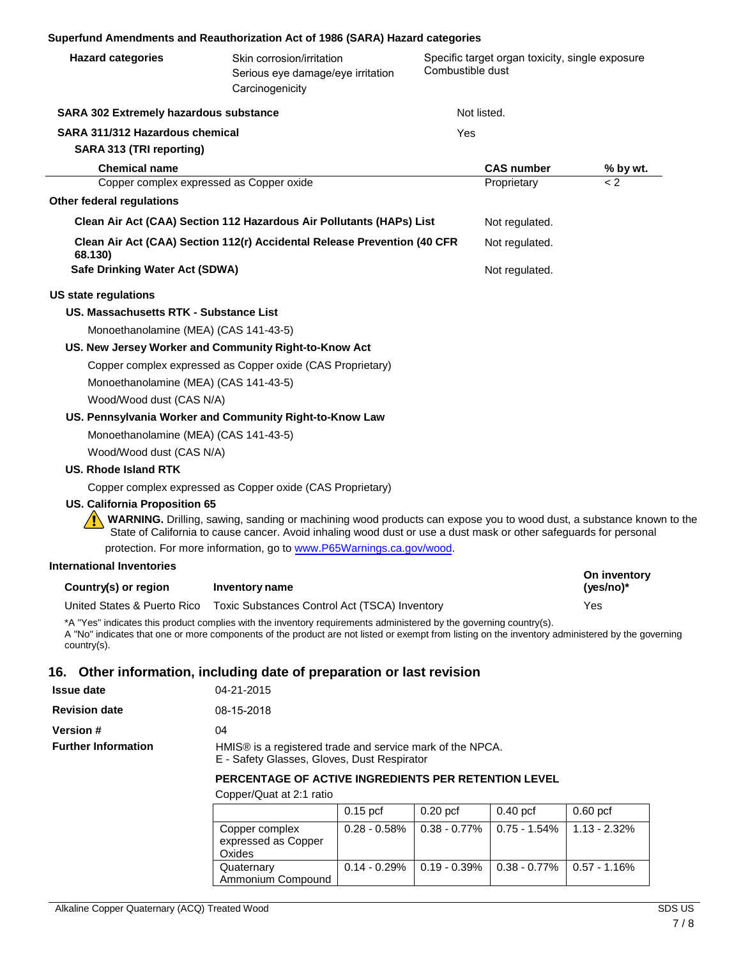#### **Superfund Amendments and Reauthorization Act of 1986 (SARA) Hazard categories**

| <b>Hazard categories</b>               | Skin corrosion/irritation<br>Serious eye damage/eye irritation<br>Carcinogenicity                                                                                                                                                                                      | Combustible dust | Specific target organ toxicity, single exposure |                           |
|----------------------------------------|------------------------------------------------------------------------------------------------------------------------------------------------------------------------------------------------------------------------------------------------------------------------|------------------|-------------------------------------------------|---------------------------|
| SARA 302 Extremely hazardous substance |                                                                                                                                                                                                                                                                        |                  | Not listed.                                     |                           |
| SARA 311/312 Hazardous chemical        |                                                                                                                                                                                                                                                                        | Yes              |                                                 |                           |
| SARA 313 (TRI reporting)               |                                                                                                                                                                                                                                                                        |                  |                                                 |                           |
| <b>Chemical name</b>                   |                                                                                                                                                                                                                                                                        |                  | <b>CAS number</b>                               | % by wt.                  |
|                                        | Copper complex expressed as Copper oxide                                                                                                                                                                                                                               |                  | Proprietary                                     | < 2                       |
| Other federal regulations              |                                                                                                                                                                                                                                                                        |                  |                                                 |                           |
|                                        | Clean Air Act (CAA) Section 112 Hazardous Air Pollutants (HAPs) List                                                                                                                                                                                                   |                  | Not regulated.                                  |                           |
| 68.130)                                | Clean Air Act (CAA) Section 112(r) Accidental Release Prevention (40 CFR                                                                                                                                                                                               |                  | Not regulated.                                  |                           |
| Safe Drinking Water Act (SDWA)         |                                                                                                                                                                                                                                                                        |                  | Not regulated.                                  |                           |
| <b>US state regulations</b>            |                                                                                                                                                                                                                                                                        |                  |                                                 |                           |
| US. Massachusetts RTK - Substance List |                                                                                                                                                                                                                                                                        |                  |                                                 |                           |
| Monoethanolamine (MEA) (CAS 141-43-5)  |                                                                                                                                                                                                                                                                        |                  |                                                 |                           |
|                                        | US. New Jersey Worker and Community Right-to-Know Act                                                                                                                                                                                                                  |                  |                                                 |                           |
|                                        | Copper complex expressed as Copper oxide (CAS Proprietary)                                                                                                                                                                                                             |                  |                                                 |                           |
| Monoethanolamine (MEA) (CAS 141-43-5)  |                                                                                                                                                                                                                                                                        |                  |                                                 |                           |
| Wood/Wood dust (CAS N/A)               |                                                                                                                                                                                                                                                                        |                  |                                                 |                           |
|                                        | US. Pennsylvania Worker and Community Right-to-Know Law                                                                                                                                                                                                                |                  |                                                 |                           |
| Monoethanolamine (MEA) (CAS 141-43-5)  |                                                                                                                                                                                                                                                                        |                  |                                                 |                           |
| Wood/Wood dust (CAS N/A)               |                                                                                                                                                                                                                                                                        |                  |                                                 |                           |
| <b>US. Rhode Island RTK</b>            |                                                                                                                                                                                                                                                                        |                  |                                                 |                           |
|                                        | Copper complex expressed as Copper oxide (CAS Proprietary)                                                                                                                                                                                                             |                  |                                                 |                           |
| <b>US. California Proposition 65</b>   | WARNING. Drilling, sawing, sanding or machining wood products can expose you to wood dust, a substance known to the<br>State of California to cause cancer. Avoid inhaling wood dust or use a dust mask or other safeguards for personal                               |                  |                                                 |                           |
|                                        | protection. For more information, go to www.P65Warnings.ca.gov/wood.                                                                                                                                                                                                   |                  |                                                 |                           |
| <b>International Inventories</b>       |                                                                                                                                                                                                                                                                        |                  |                                                 |                           |
| Country(s) or region                   | Inventory name                                                                                                                                                                                                                                                         |                  |                                                 | On inventory<br>(yes/no)* |
| United States & Puerto Rico            | Toxic Substances Control Act (TSCA) Inventory                                                                                                                                                                                                                          |                  |                                                 | Yes                       |
| country(s).                            | *A "Yes" indicates this product complies with the inventory requirements administered by the governing country(s).<br>A "No" indicates that one or more components of the product are not listed or exempt from listing on the inventory administered by the governing |                  |                                                 |                           |
|                                        | 16. Other information, including date of preparation or last revision                                                                                                                                                                                                  |                  |                                                 |                           |
| <b>Issue date</b>                      | 04-21-2015                                                                                                                                                                                                                                                             |                  |                                                 |                           |
| <b>Revision date</b>                   | 08-15-2018                                                                                                                                                                                                                                                             |                  |                                                 |                           |
| <b>Version #</b>                       | 04                                                                                                                                                                                                                                                                     |                  |                                                 |                           |
| <b>Further Information</b>             | HMIS® is a registered trade and service mark of the NPCA.                                                                                                                                                                                                              |                  |                                                 |                           |

E - Safety Glasses, Gloves, Dust Respirator

#### **PERCENTAGE OF ACTIVE INGREDIENTS PER RETENTION LEVEL**

Copper/Quat at 2:1 ratio

|                                                 | $0.15$ pcf                     | 0.20 pcf        | $0.40$ pcf                     | $0.60$ pcf      |
|-------------------------------------------------|--------------------------------|-----------------|--------------------------------|-----------------|
| Copper complex<br>expressed as Copper<br>Oxides | $0.28 - 0.58\%$                | $0.38 - 0.77\%$ | $0.75 - 1.54\%$                | $1.13 - 2.32\%$ |
| Quaternary<br>Ammonium Compound                 | $0.14 - 0.29\%$   0.19 - 0.39% |                 | $0.38 - 0.77\%$   0.57 - 1.16% |                 |